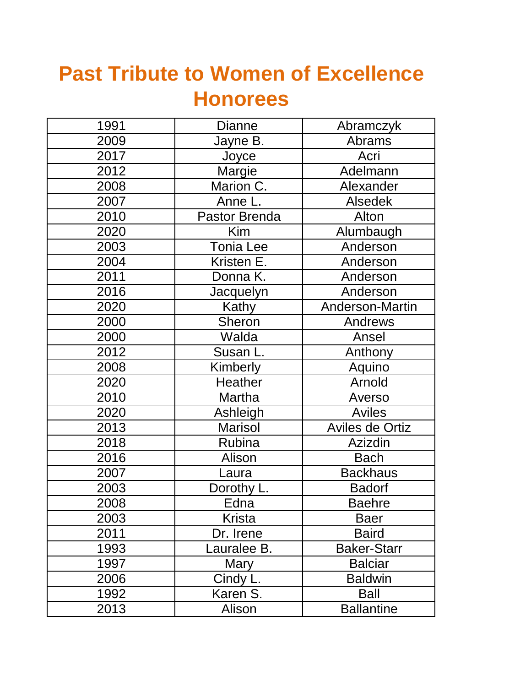## **Past Tribute to Women of Excellence Honorees**

| 1991 | <b>Dianne</b>    | Abramczyk              |
|------|------------------|------------------------|
| 2009 | Jayne B.         | <b>Abrams</b>          |
| 2017 | Joyce            | Acri                   |
| 2012 | Margie           | Adelmann               |
| 2008 | Marion C.        | Alexander              |
| 2007 | Anne L.          | <b>Alsedek</b>         |
| 2010 | Pastor Brenda    | Alton                  |
| 2020 | <b>Kim</b>       | Alumbaugh              |
| 2003 | <b>Tonia Lee</b> | Anderson               |
| 2004 | Kristen E.       | Anderson               |
| 2011 | Donna K.         | Anderson               |
| 2016 | Jacquelyn        | Anderson               |
| 2020 | Kathy            | Anderson-Martin        |
| 2000 | Sheron           | <b>Andrews</b>         |
| 2000 | Walda            | Ansel                  |
| 2012 | Susan L.         | Anthony                |
| 2008 | Kimberly         | Aquino                 |
| 2020 | <b>Heather</b>   | Arnold                 |
| 2010 | Martha           | Averso                 |
| 2020 | Ashleigh         | <b>Aviles</b>          |
| 2013 | <b>Marisol</b>   | <b>Aviles de Ortiz</b> |
| 2018 | Rubina           | Azizdin                |
| 2016 | Alison           | <b>Bach</b>            |
| 2007 | Laura            | <b>Backhaus</b>        |
| 2003 | Dorothy L.       | <b>Badorf</b>          |
| 2008 | Edna             | <b>Baehre</b>          |
| 2003 | Krista           | Baer                   |
| 2011 | Dr. Irene        | <b>Baird</b>           |
| 1993 | auralee B.       | <b>Baker-Starr</b>     |
| 1997 | Mary             | <b>Balciar</b>         |
| 2006 | Cindy L.         | <b>Baldwin</b>         |
| 1992 | Karen S.         | <b>Ball</b>            |
| 2013 | Alison           | <b>Ballantine</b>      |
|      |                  |                        |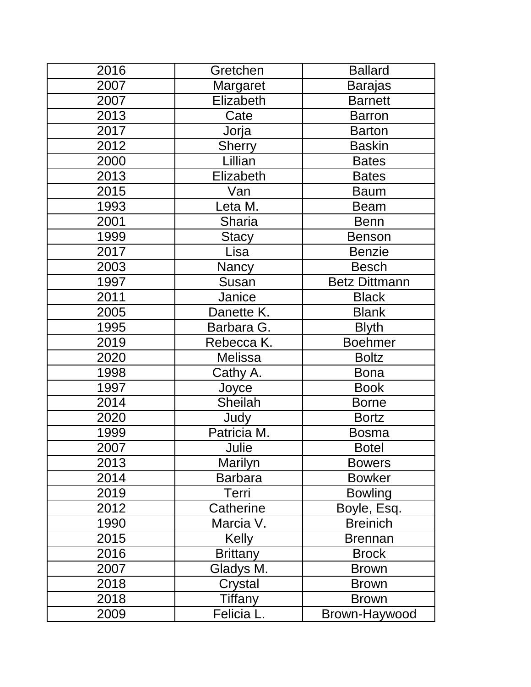| 2016 | Gretchen        | <b>Ballard</b>       |
|------|-----------------|----------------------|
| 2007 | Margaret        | <b>Barajas</b>       |
| 2007 | Elizabeth       | <b>Barnett</b>       |
| 2013 | Cate            | <b>Barron</b>        |
| 2017 | Jorja           | <b>Barton</b>        |
| 2012 | <b>Sherry</b>   | <b>Baskin</b>        |
| 2000 | Lillian         | <b>Bates</b>         |
| 2013 | Elizabeth       | <b>Bates</b>         |
| 2015 | Van             | <b>Baum</b>          |
| 1993 | Leta M.         | <b>Beam</b>          |
| 2001 | Sharia          | <b>Benn</b>          |
| 1999 | <b>Stacy</b>    | <b>Benson</b>        |
| 2017 | Lisa            | <b>Benzie</b>        |
| 2003 | Nancy           | <b>Besch</b>         |
| 1997 | Susan           | <b>Betz Dittmann</b> |
| 2011 | Janice          | <b>Black</b>         |
| 2005 | Danette K.      | <b>Blank</b>         |
| 1995 | Barbara G.      | <b>Blyth</b>         |
| 2019 | Rebecca K.      | <b>Boehmer</b>       |
| 2020 | Melissa         | <b>Boltz</b>         |
| 1998 | Cathy A.        | <b>Bona</b>          |
| 1997 | Joyce           | <b>Book</b>          |
| 2014 | Sheilah         | <b>Borne</b>         |
| 2020 | Judy            | <b>Bortz</b>         |
| 1999 | Patricia M.     | <b>Bosma</b>         |
| 2007 | Julie           | <b>Botel</b>         |
| 2013 | Marilyn         | <b>Bowers</b>        |
| 2014 | <b>Barbara</b>  | <b>Bowker</b>        |
| 2019 | Terri           | <b>Bowling</b>       |
| 2012 | Catherine       | Boyle, Esq.          |
| 1990 | Marcia V.       | <b>Breinich</b>      |
| 2015 | <b>Kelly</b>    | <b>Brennan</b>       |
| 2016 | <b>Brittany</b> | <b>Brock</b>         |
| 2007 | Gladys M.       | <b>Brown</b>         |
| 2018 | Crystal         | <b>Brown</b>         |
| 2018 | Tiffany         | <b>Brown</b>         |
| 2009 | Felicia L.      | Brown-Haywood        |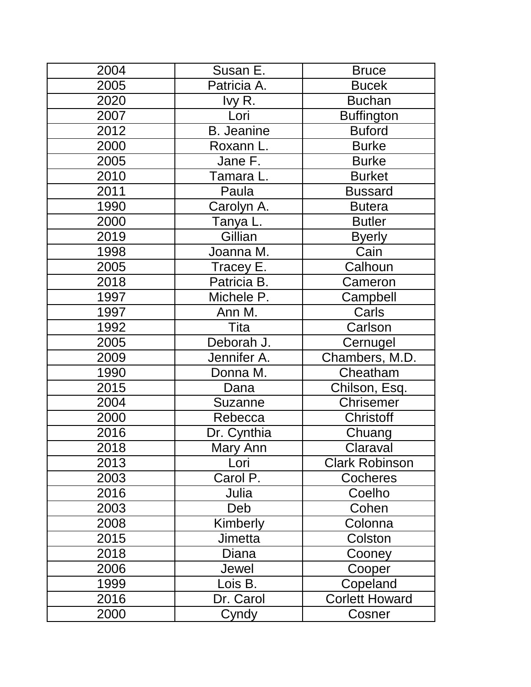| 2004 | Susan E.             | <b>Bruce</b>          |
|------|----------------------|-----------------------|
| 2005 | Patricia A.          | <b>Bucek</b>          |
| 2020 | lvy R.               | <b>Buchan</b>         |
| 2007 | Lori                 | <b>Buffington</b>     |
| 2012 | <b>B.</b> Jeanine    | <b>Buford</b>         |
| 2000 | Roxann L.            | <b>Burke</b>          |
| 2005 | Jane F.              | <b>Burke</b>          |
| 2010 | Tamara L.            | <b>Burket</b>         |
| 2011 | Paula                | <b>Bussard</b>        |
| 1990 | Carolyn A.           | <b>Butera</b>         |
| 2000 | Tanya L.             | <b>Butler</b>         |
| 2019 | Gillian              | <b>Byerly</b>         |
| 1998 | Joanna M.            | Cain                  |
| 2005 | Tracey E.            | Calhoun               |
| 2018 | Patricia B.          | Cameron               |
| 1997 | Michele P.           | Campbell              |
| 1997 | Ann $\overline{M}$ . | Carls                 |
| 1992 | Tita                 | Carlson               |
| 2005 | Deborah J.           | Cernugel              |
| 2009 | Jennifer A.          | Chambers, M.D.        |
| 1990 | Donna M.             | Cheatham              |
| 2015 | Dana                 | Chilson, Esq.         |
| 2004 | Suzanne              | <b>Chrisemer</b>      |
| 2000 | Rebecca              | <b>Christoff</b>      |
| 2016 | Dr. Cynthia          | Chuang                |
| 2018 | Mary Ann             | Claraval              |
| 2013 | Lori                 | <b>Clark Robinson</b> |
| 2003 | Carol P.             | <b>Cocheres</b>       |
| 2016 | Julia                | Coelho                |
| 2003 | Deb                  | Cohen                 |
| 2008 | Kimberly             | Colonna               |
| 2015 | <b>Jimetta</b>       | Colston               |
| 2018 | Diana                | Cooney                |
| 2006 | Jewel                | Cooper                |
| 1999 | Lois B.              | Copeland              |
| 2016 | Dr. Carol            | <b>Corlett Howard</b> |
| 2000 | Cyndy                | Cosner                |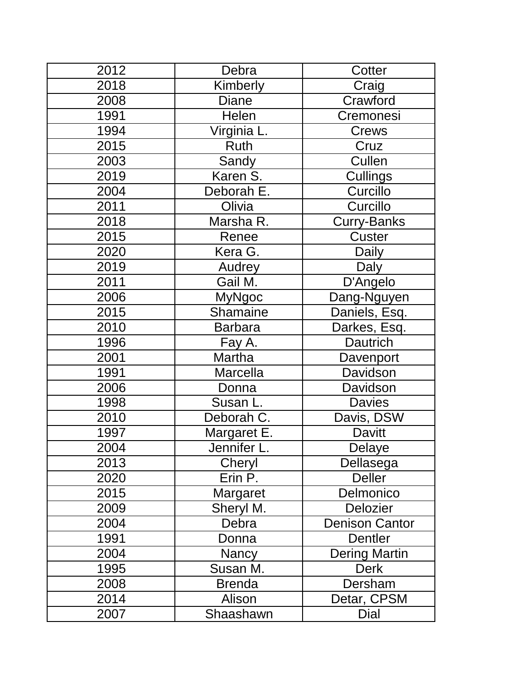| 2012 | Debra           | Cotter                |
|------|-----------------|-----------------------|
| 2018 | Kimberly        | Craig                 |
| 2008 | <b>Diane</b>    | Crawford              |
| 1991 | Helen           | Cremonesi             |
| 1994 | Virginia L.     | Crews                 |
| 2015 | Ruth            | Cruz                  |
| 2003 | Sandy           | Cullen                |
| 2019 | Karen S.        | Cullings              |
| 2004 | Deborah E.      | Curcillo              |
| 2011 | Olivia          | Curcillo              |
| 2018 | Marsha R.       | <b>Curry-Banks</b>    |
| 2015 | Renee           | Custer                |
| 2020 | Kera G.         | <b>Daily</b>          |
| 2019 | Audrey          | Daly                  |
| 2011 | Gail M.         | D'Angelo              |
| 2006 | <b>MyNgoc</b>   | Dang-Nguyen           |
| 2015 | <b>Shamaine</b> | Daniels, Esq.         |
| 2010 | <b>Barbara</b>  | Darkes, Esq.          |
| 1996 | Fay A.          | Dautrich              |
| 2001 | Martha          | Davenport             |
| 1991 | Marcella        | Davidson              |
| 2006 | Donna           | Davidson              |
| 1998 | Susan L.        | <b>Davies</b>         |
| 2010 | Deborah C.      | Davis, DSW            |
| 1997 | Margaret E.     | <b>Davitt</b>         |
| 2004 | Jennifer I      | Delaye                |
| 2013 | Cheryl          | Dellasega             |
| 2020 | Erin P.         | <b>Deller</b>         |
| 2015 | Margaret        | Delmonico             |
| 2009 | Sheryl M.       | <b>Delozier</b>       |
| 2004 | Debra           | <b>Denison Cantor</b> |
| 1991 | Donna           | Dentler               |
| 2004 | Nancy           | <b>Dering Martin</b>  |
| 1995 | Susan M.        | <b>Derk</b>           |
| 2008 | <b>Brenda</b>   | Dersham               |
| 2014 | Alison          | Detar, CPSM           |
| 2007 | Shaashawn       | Dial                  |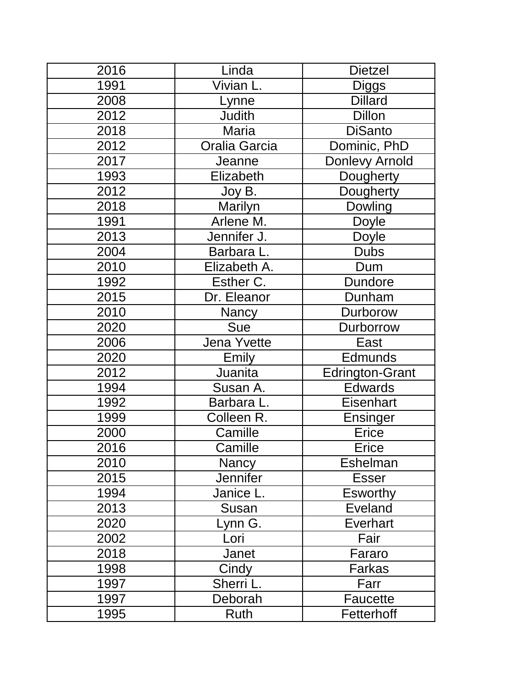| 2016 | Linda           | <b>Dietzel</b>         |
|------|-----------------|------------------------|
| 1991 | Vivian L.       | <b>Diggs</b>           |
| 2008 | Lynne           | <b>Dillard</b>         |
| 2012 | <b>Judith</b>   | <b>Dillon</b>          |
| 2018 | Maria           | DiSanto                |
| 2012 | Oralia Garcia   | Dominic, PhD           |
| 2017 | Jeanne          | Donlevy Arnold         |
| 1993 | Elizabeth       | Dougherty              |
| 2012 | Joy B.          | Dougherty              |
| 2018 | Marilyn         | <b>Dowling</b>         |
| 1991 | Arlene M.       | <b>Doyle</b>           |
| 2013 | Jennifer J.     | Doyle                  |
| 2004 | Barbara L.      | <b>Dubs</b>            |
| 2010 | Elizabeth A.    | Dum                    |
| 1992 | Esther C.       | <b>Dundore</b>         |
| 2015 | Dr. Eleanor     | Dunham                 |
| 2010 | Nancy           | Durborow               |
| 2020 | <b>Sue</b>      | <b>Durborrow</b>       |
| 2006 | Jena Yvette     | East                   |
| 2020 | Emily           | <b>Edmunds</b>         |
| 2012 | Juanita         | <b>Edrington-Grant</b> |
| 1994 | Susan A.        | <b>Edwards</b>         |
| 1992 | Barbara L.      | <b>Eisenhart</b>       |
| 1999 | Colleen R.      | Ensinger               |
| 2000 | Camille         | <b>Erice</b>           |
| 2016 | Camille         | Erice                  |
| 2010 | <b>Nancy</b>    | Eshelman               |
| 2015 | <b>Jennifer</b> | <b>Esser</b>           |
| 1994 | Janice L.       | <b>Esworthy</b>        |
| 2013 | Susan           | <b>Eveland</b>         |
| 2020 | _ynn G.         | <b>Everhart</b>        |
| 2002 | Lori            | Fair                   |
| 2018 | Janet           | Fararo                 |
| 1998 | Cindy           | Farkas                 |
| 1997 | Sherri L.       | Farr                   |
| 1997 | Deborah         | Faucette               |
| 1995 | Ruth            | Fetterhoff             |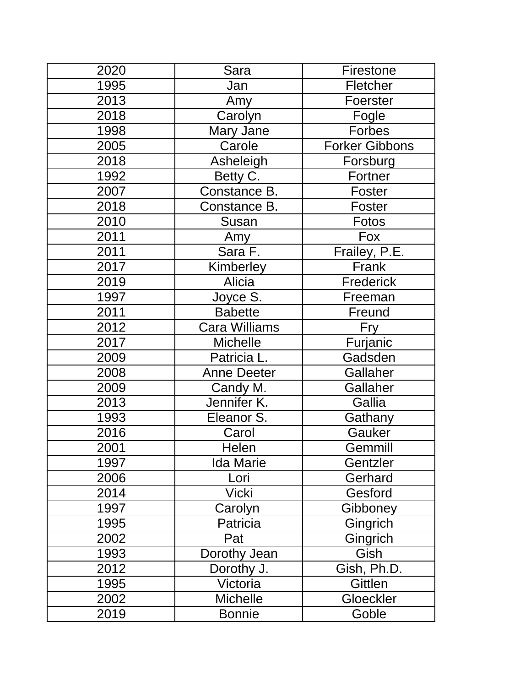| 2020 | Sara               | Firestone             |
|------|--------------------|-----------------------|
| 1995 | Jan                | Fletcher              |
| 2013 | Amy                | Foerster              |
| 2018 | Carolyn            | Fogle                 |
| 1998 | Mary Jane          | Forbes                |
| 2005 | Carole             | <b>Forker Gibbons</b> |
| 2018 | Asheleigh          | Forsburg              |
| 1992 | Betty C.           | Fortner               |
| 2007 | Constance B.       | Foster                |
| 2018 | Constance B.       | Foster                |
| 2010 | Susan              | <b>Fotos</b>          |
| 2011 | Amy                | Fox                   |
| 2011 | Sara F.            | Frailey, P.E.         |
| 2017 | Kimberley          | Frank                 |
| 2019 | Alicia             | <b>Frederick</b>      |
| 1997 | Joyce S.           | Freeman               |
| 2011 | <b>Babette</b>     | Freund                |
| 2012 | Cara Williams      | Fry                   |
| 2017 | <b>Michelle</b>    | Furjanic              |
| 2009 | Patricia L.        | Gadsden               |
| 2008 | <b>Anne Deeter</b> | Gallaher              |
| 2009 | Candy M.           | Gallaher              |
| 2013 | Jennifer K.        | Gallia                |
| 1993 | Eleanor S.         | Gathany               |
| 2016 | Carol              | Gauker                |
| 2001 | Helen              | Gemmill               |
| 1997 | <b>Ida Marie</b>   | Gentzler              |
| 2006 | Lori               | Gerhard               |
| 2014 | <b>Vicki</b>       | Gesford               |
| 1997 | Carolyn            | Gibboney              |
| 1995 | Patricia           | Gingrich              |
| 2002 | Pat                | Gingrich              |
| 1993 | Dorothy Jean       | Gish                  |
| 2012 | Dorothy J.         | Gish, Ph.D.           |
| 1995 | Victoria           | Gittlen               |
| 2002 | <b>Michelle</b>    | Gloeckler             |
| 2019 | <b>Bonnie</b>      | Goble                 |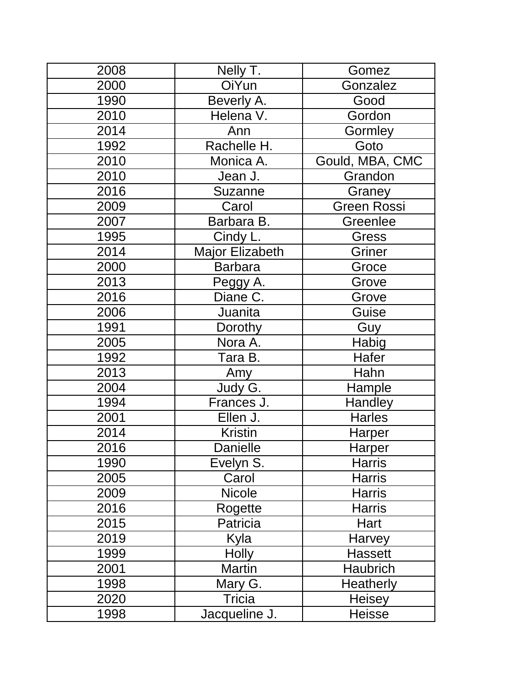| 2008 | Nelly T.               | Gomez              |
|------|------------------------|--------------------|
| 2000 | OiYun                  | Gonzalez           |
| 1990 | Beverly A.             | Good               |
| 2010 | Helena V.              | Gordon             |
| 2014 | Ann                    | <b>Gormley</b>     |
| 1992 | Rachelle H.            | Goto               |
| 2010 | Monica A.              | Gould, MBA, CMC    |
| 2010 | Jean J.                | Grandon            |
| 2016 | Suzanne                | Graney             |
| 2009 | Carol                  | <b>Green Rossi</b> |
| 2007 | Barbara B.             | Greenlee           |
| 1995 | Cindy L.               | <b>Gress</b>       |
| 2014 | <b>Major Elizabeth</b> | Griner             |
| 2000 | <b>Barbara</b>         | Groce              |
| 2013 | Peggy A.               | Grove              |
| 2016 | Diane C.               | Grove              |
| 2006 | Juanita                | Guise              |
| 1991 | Dorothy                | Guy                |
| 2005 | Nora A.                | Habig              |
| 1992 | Tara B.                | Hafer              |
| 2013 | Amy                    | Hahn               |
| 2004 | Judy G.                | Hample             |
| 1994 | Frances J.             | Handley            |
| 2001 | Ellen J.               | <b>Harles</b>      |
| 2014 | <b>Kristin</b>         | Harper             |
| 2016 | <b>Danielle</b>        | <b>Harper</b>      |
| 1990 | Evelyn S.              | <b>Harris</b>      |
| 2005 | Carol                  | <b>Harris</b>      |
| 2009 | <b>Nicole</b>          | <b>Harris</b>      |
| 2016 | Rogette                | <b>Harris</b>      |
| 2015 | Patricia               | Hart               |
| 2019 | Kyla                   | Harvey             |
| 1999 | <b>Holly</b>           | Hassett            |
| 2001 | <b>Martin</b>          | <b>Haubrich</b>    |
| 1998 | Mary G.                | <b>Heatherly</b>   |
| 2020 | Tricia                 | <b>Heisey</b>      |
| 1998 | Jacqueline J.          | <b>Heisse</b>      |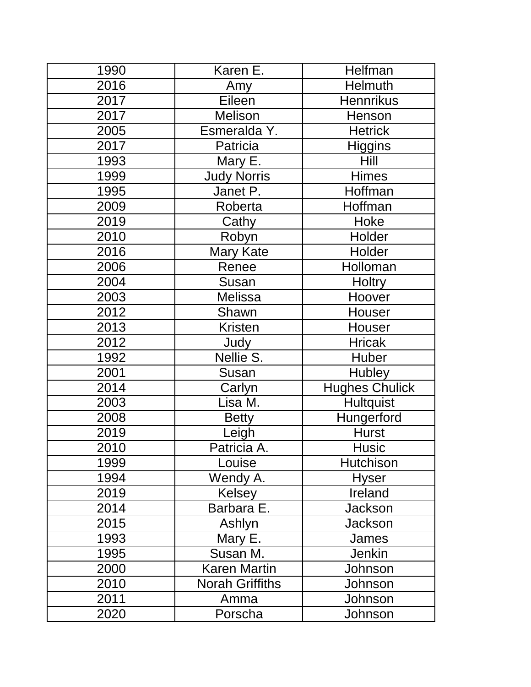| 1990 | Karen E.               | Helfman               |
|------|------------------------|-----------------------|
| 2016 | Amy                    | Helmuth               |
| 2017 | Eileen                 | <b>Hennrikus</b>      |
| 2017 | <b>Melison</b>         | Henson                |
| 2005 | Esmeralda Y.           | <b>Hetrick</b>        |
| 2017 | Patricia               | <b>Higgins</b>        |
| 1993 | Mary E.                | <b>Hill</b>           |
| 1999 | <b>Judy Norris</b>     | <b>Himes</b>          |
| 1995 | Janet P.               | Hoffman               |
| 2009 | Roberta                | Hoffman               |
| 2019 | Cathy                  | Hoke                  |
| 2010 | Robyn                  | Holder                |
| 2016 | <b>Mary Kate</b>       | Holder                |
| 2006 | Renee                  | Holloman              |
| 2004 | Susan                  | <b>Holtry</b>         |
| 2003 | <b>Melissa</b>         | Hoover                |
| 2012 | Shawn                  | <b>Houser</b>         |
| 2013 | <b>Kristen</b>         | Houser                |
| 2012 | Judy                   | <b>Hricak</b>         |
| 1992 | Nellie S.              | <b>Huber</b>          |
| 2001 | Susan                  | <b>Hubley</b>         |
| 2014 | Carlyn                 | <b>Hughes Chulick</b> |
| 2003 | Lisa M.                | <b>Hultquist</b>      |
| 2008 | <b>Betty</b>           | Hungerford            |
| 2019 | Leigh                  | <b>Hurst</b>          |
| 2010 | Patricia A             | Husic                 |
| 1999 | Louise                 | Hutchison             |
| 1994 | Wendy A.               | <b>Hyser</b>          |
| 2019 | Kelsey                 | Ireland               |
| 2014 | Barbara E.             | <b>Jackson</b>        |
| 2015 | Ashlyn                 | <b>Jackson</b>        |
| 1993 | Mary E.                | James                 |
| 1995 | Susan M.               | Jenkin                |
| 2000 | <b>Karen Martin</b>    | Johnson               |
| 2010 | <b>Norah Griffiths</b> | Johnson               |
| 2011 | Amma                   | Johnson               |
| 2020 | Porscha                | Johnson               |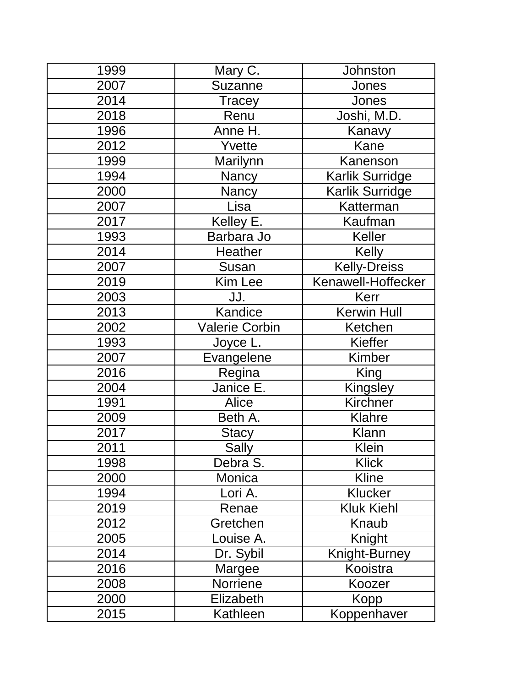| 1999 | Mary C.               | Johnston            |
|------|-----------------------|---------------------|
| 2007 | Suzanne               | Jones               |
| 2014 | Tracey                | Jones               |
| 2018 | Renu                  | Joshi, M.D.         |
| 1996 | Anne H.               | Kanavy              |
| 2012 | Yvette                | Kane                |
| 1999 | Marilynn              | Kanenson            |
| 1994 | Nancy                 | Karlik Surridge     |
| 2000 | Nancy                 | Karlik Surridge     |
| 2007 | Lisa                  | Katterman           |
| 2017 | Kelley E.             | Kaufman             |
| 1993 | Barbara Jo            | Keller              |
| 2014 | <b>Heather</b>        | <b>Kelly</b>        |
| 2007 | Susan                 | <b>Kelly-Dreiss</b> |
| 2019 | <b>Kim Lee</b>        | Kenawell-Hoffecker  |
| 2003 | JJ.                   | Kerr                |
| 2013 | Kandice               | <b>Kerwin Hull</b>  |
| 2002 | <b>Valerie Corbin</b> | Ketchen             |
| 1993 | Joyce L.              | Kieffer             |
| 2007 | Evangelene            | <b>Kimber</b>       |
| 2016 | Regina                | King                |
| 2004 | Janice E.             | Kingsley            |
| 1991 | Alice                 | Kirchner            |
| 2009 | Beth A.               | Klahre              |
| 2017 | <b>Stacy</b>          | Klann               |
| 2011 | <b>Sally</b>          | Klein               |
| 1998 | Debra S.              | <b>Klick</b>        |
| 2000 | Monica                | <b>Kline</b>        |
| 1994 | Lori A.               | <b>Klucker</b>      |
| 2019 | Renae                 | <b>Kluk Kiehl</b>   |
| 2012 | Gretchen              | Knaub               |
| 2005 | Louise A.             | Knight              |
| 2014 | Dr. Sybil             | Knight-Burney       |
| 2016 | Margee                | Kooistra            |
| 2008 | Norriene              | Koozer              |
| 2000 | Elizabeth             | Kopp                |
| 2015 | Kathleen              | Koppenhaver         |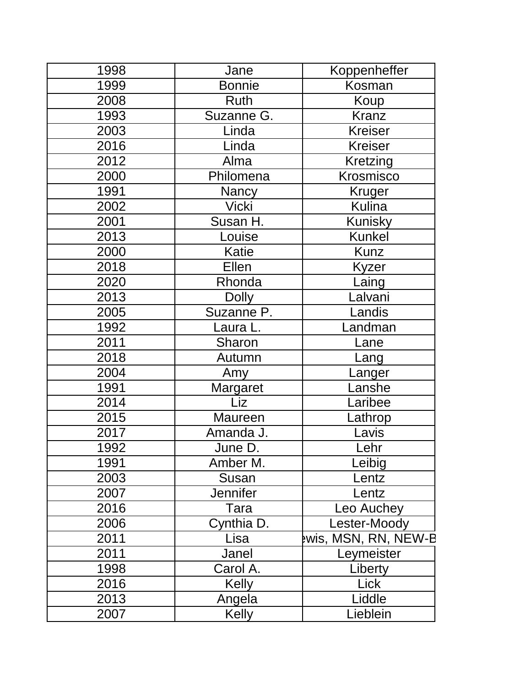| 1998 | Jane            | Koppenheffer        |
|------|-----------------|---------------------|
| 1999 | <b>Bonnie</b>   | Kosman              |
| 2008 | Ruth            | Koup                |
| 1993 | Suzanne G.      | <b>Kranz</b>        |
| 2003 | Linda           | <b>Kreiser</b>      |
| 2016 | Linda           | <b>Kreiser</b>      |
| 2012 | Alma            | <b>Kretzing</b>     |
| 2000 | Philomena       | Krosmisco           |
| 1991 | <b>Nancy</b>    | Kruger              |
| 2002 | <b>Vicki</b>    | <b>Kulina</b>       |
| 2001 | Susan H.        | Kunisky             |
| 2013 | Louise          | <b>Kunkel</b>       |
| 2000 | Katie           | <b>Kunz</b>         |
| 2018 | Ellen           | Kyzer               |
| 2020 | Rhonda          | Laing               |
| 2013 | <b>Dolly</b>    | Lalvani             |
| 2005 | Suzanne P.      | Landis              |
| 1992 | Laura L.        | Landman             |
| 2011 | Sharon          | Lane                |
| 2018 | Autumn          | Lang                |
| 2004 | Amy             | _anger              |
| 1991 | Margaret        | .anshe              |
| 2014 | Liz             | aribee              |
| 2015 | Maureen         | Lathrop             |
| 2017 | Amanda J.       | Lavis               |
| 1992 | June D          | ehr                 |
| 1991 | Amber M.        | Leibig              |
| 2003 | Susan           | Lentz               |
| 2007 | <b>Jennifer</b> | Lentz               |
| 2016 | Tara            | Leo Auchey          |
| 2006 | Cynthia D.      | Lester-Moody        |
| 2011 | Lisa            | wis, MSN, RN, NEW-B |
| 2011 | Janel           | Leymeister          |
| 1998 | Carol A.        | Liberty             |
| 2016 | <b>Kelly</b>    | Lick                |
| 2013 | Angela          | Liddle              |
| 2007 | <b>Kelly</b>    | Lieblein            |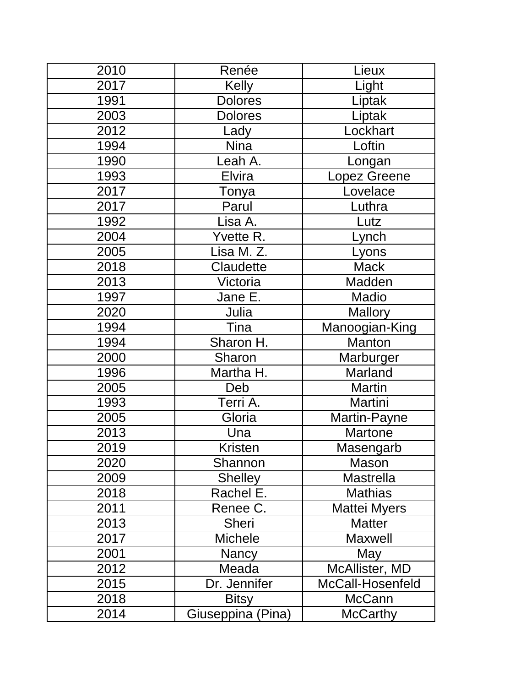| 2010 | Renée             | Lieux               |
|------|-------------------|---------------------|
| 2017 | <b>Kelly</b>      | Light               |
| 1991 | <b>Dolores</b>    | Liptak              |
| 2003 | <b>Dolores</b>    | Liptak              |
| 2012 | Lady              | Lockhart            |
| 1994 | <b>Nina</b>       | Loftin              |
| 1990 | Leah A.           | Longan              |
| 1993 | Elvira            | Lopez Greene        |
| 2017 | Tonya             | Lovelace            |
| 2017 | Parul             | Luthra              |
| 1992 | Lisa A.           | Lutz                |
| 2004 | Yvette R.         | Lynch               |
| 2005 | Lisa M. Z.        | Lyons               |
| 2018 | Claudette         | <b>Mack</b>         |
| 2013 | Victoria          | Madden              |
| 1997 | Jane E.           | <b>Madio</b>        |
| 2020 | Julia             | Mallory             |
| 1994 | Tina              | Manoogian-King      |
| 1994 | Sharon H.         | Manton              |
| 2000 | Sharon            | Marburger           |
| 1996 | Martha H.         | Marland             |
| 2005 | Deb               | <b>Martin</b>       |
| 1993 | Terri A.          | Martini             |
| 2005 | Gloria            | Martin-Payne        |
| 2013 | Una               | <b>Martone</b>      |
| 2019 | <b>Kristen</b>    | <u>Masengarb</u>    |
| 2020 | Shannon           | Mason               |
| 2009 | <b>Shelley</b>    | Mastrella           |
| 2018 | Rachel E.         | <b>Mathias</b>      |
| 2011 | Renee C.          | <b>Mattei Myers</b> |
| 2013 | <b>Sheri</b>      | <b>Matter</b>       |
| 2017 | <b>Michele</b>    | <b>Maxwell</b>      |
| 2001 | Nancy             | May                 |
| 2012 | Meada             | McAllister, MD      |
| 2015 | Dr. Jennifer      | McCall-Hosenfeld    |
| 2018 | <b>Bitsy</b>      | McCann              |
| 2014 | Giuseppina (Pina) | <b>McCarthy</b>     |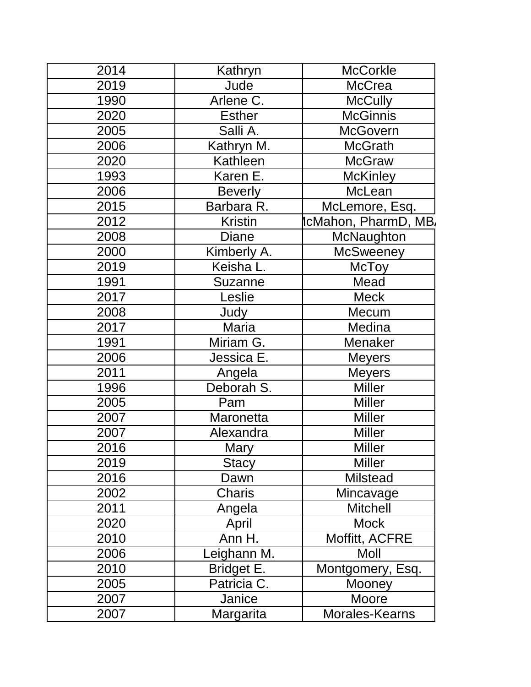| 2014 | Kathryn        | <b>McCorkle</b>      |
|------|----------------|----------------------|
| 2019 | Jude           | <b>McCrea</b>        |
| 1990 | Arlene C.      | <b>McCully</b>       |
| 2020 | <b>Esther</b>  | <b>McGinnis</b>      |
| 2005 | Salli A.       | <b>McGovern</b>      |
| 2006 | Kathryn M.     | <b>McGrath</b>       |
| 2020 | Kathleen       | <b>McGraw</b>        |
| 1993 | Karen E.       | <b>McKinley</b>      |
| 2006 | <b>Beverly</b> | McLean               |
| 2015 | Barbara R.     | McLemore, Esq.       |
| 2012 | <b>Kristin</b> | icMahon, PharmD, MB. |
| 2008 | <b>Diane</b>   | McNaughton           |
| 2000 | Kimberly A.    | <b>McSweeney</b>     |
| 2019 | Keisha L.      | McToy                |
| 1991 | <b>Suzanne</b> | Mead                 |
| 2017 | Leslie         | <b>Meck</b>          |
| 2008 | Judy           | Mecum                |
| 2017 | Maria          | Medina               |
| 1991 | Miriam G.      | Menaker              |
| 2006 | Jessica E.     | <b>Meyers</b>        |
| 2011 | Angela         | <b>Meyers</b>        |
| 1996 | Deborah S.     | <b>Miller</b>        |
| 2005 | Pam            | Miller               |
| 2007 | Maronetta      | <b>Miller</b>        |
| 2007 | Alexandra      | Miller               |
| 2016 | <b>Mary</b>    | Miller               |
| 2019 | <b>Stacy</b>   | <b>Miller</b>        |
| 2016 | Dawn           | <b>Milstead</b>      |
| 2002 | Charis         | Mincavage            |
| 2011 | Angela         | <b>Mitchell</b>      |
| 2020 | April          | <b>Mock</b>          |
| 2010 | Ann H.         | Moffitt, ACFRE       |
| 2006 | eighann M.     | Moll                 |
| 2010 | Bridget E.     | Montgomery, Esq.     |
| 2005 | Patricia C.    | <b>Mooney</b>        |
| 2007 | Janice         | Moore                |
| 2007 | Margarita      | Morales-Kearns       |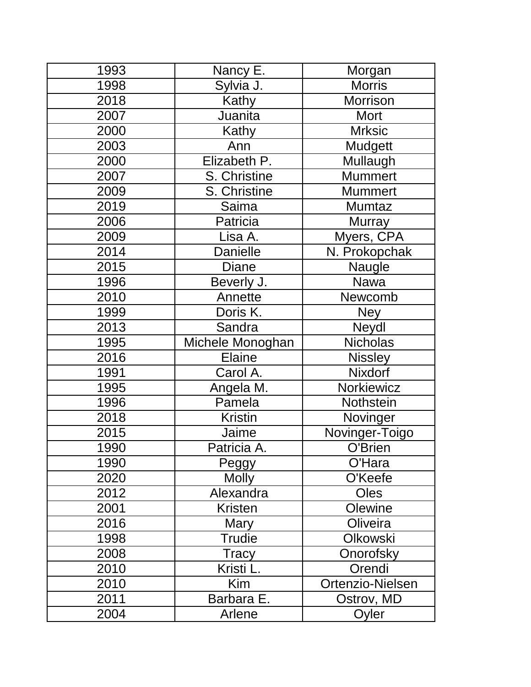| 1993 | Nancy E.         | Morgan           |
|------|------------------|------------------|
| 1998 | Sylvia J.        | <b>Morris</b>    |
| 2018 | Kathy            | Morrison         |
| 2007 | Juanita          | Mort             |
| 2000 | Kathy            | <b>Mrksic</b>    |
| 2003 | Ann              | Mudgett          |
| 2000 | Elizabeth P.     | Mullaugh         |
| 2007 | S. Christine     | <b>Mummert</b>   |
| 2009 | S. Christine     | <b>Mummert</b>   |
| 2019 | Saima            | Mumtaz           |
| 2006 | Patricia         | <b>Murray</b>    |
| 2009 | Lisa A.          | Myers, CPA       |
| 2014 | <b>Danielle</b>  | N. Prokopchak    |
| 2015 | Diane            | Naugle           |
| 1996 | Beverly J.       | Nawa             |
| 2010 | Annette          | Newcomb          |
| 1999 | Doris K.         | <b>Ney</b>       |
| 2013 | Sandra           | Neydl            |
| 1995 | Michele Monoghan | <b>Nicholas</b>  |
| 2016 | <b>Elaine</b>    | <b>Nissley</b>   |
| 1991 | Carol A.         | Nixdorf          |
| 1995 | Angela M.        | Norkiewicz       |
| 1996 | Pamela           | Nothstein        |
| 2018 | <b>Kristin</b>   | Novinger         |
| 2015 | Jaime            | Novinger-Toigo   |
| 1990 | Patricia A       | O'Brien          |
| 1990 | Peggy            | O'Hara           |
| 2020 | <b>Molly</b>     | O'Keefe          |
| 2012 | Alexandra        | <b>Oles</b>      |
| 2001 | <b>Kristen</b>   | Olewine          |
| 2016 | Mary             | Oliveira         |
| 1998 | <b>Trudie</b>    | Olkowski         |
| 2008 | Tracy            | Onorofsky        |
| 2010 | Kristi L.        | Orendi           |
| 2010 | Kim              | Ortenzio-Nielsen |
| 2011 | Barbara E.       | Ostrov, MD       |
| 2004 | Arlene           | Oyler            |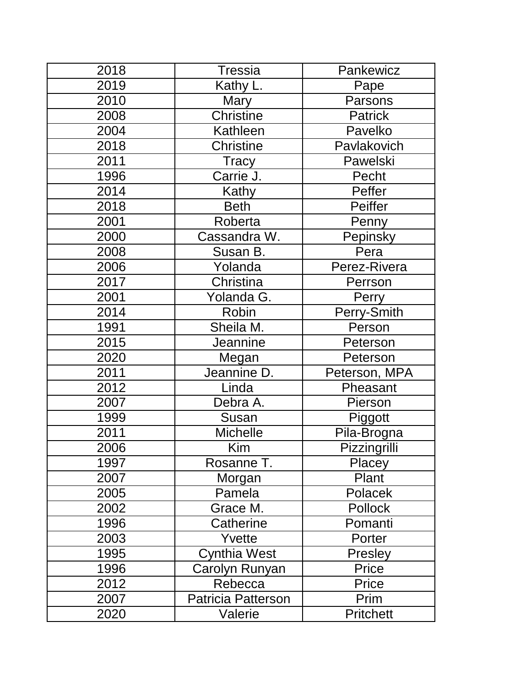| 2018 | <b>Tressia</b>     | Pankewicz           |
|------|--------------------|---------------------|
| 2019 | Kathy L.           | Pape                |
| 2010 | Mary               | Parsons             |
| 2008 | <b>Christine</b>   | <b>Patrick</b>      |
| 2004 | Kathleen           | Pavelko             |
| 2018 | <b>Christine</b>   | Pavlakovich         |
| 2011 | Tracy              | Pawelski            |
| 1996 | Carrie J.          | Pecht               |
| 2014 | Kathy              | Peffer              |
| 2018 | <b>Beth</b>        | Peiffer             |
| 2001 | Roberta            | Penny               |
| 2000 | Cassandra W.       | Pepinsky            |
| 2008 | Susan B.           | Pera                |
| 2006 | Yolanda            | Perez-Rivera        |
| 2017 | Christina          | Perrson             |
| 2001 | Yolanda G.         | Perry               |
| 2014 | Robin              | Perry-Smith         |
| 1991 | Sheila M.          | Person              |
| 2015 | Jeannine           | Peterson            |
| 2020 | Megan              | Peterson            |
| 2011 | Jeannine D.        | Peterson, MPA       |
| 2012 | Linda              | Pheasant            |
| 2007 | Debra A.           | Pierson             |
| 1999 | Susan              | Piggott             |
| 2011 | <b>Michelle</b>    | Pila-Brogna         |
| 2006 | Kim                | <b>Pizzingrilli</b> |
| 1997 | Rosanne T.         | Placey              |
| 2007 | Morgan             | Plant               |
| 2005 | Pamela             | Polacek             |
| 2002 | Grace M.           | Pollock             |
| 1996 | Catherine          | Pomanti             |
| 2003 | Yvette             | Porter              |
| 1995 | Cynthia West       | Presley             |
| 1996 | Carolyn Runyan     | Price               |
| 2012 | Rebecca            | Price               |
| 2007 | Patricia Patterson | Prim                |
| 2020 | Valerie            | <b>Pritchett</b>    |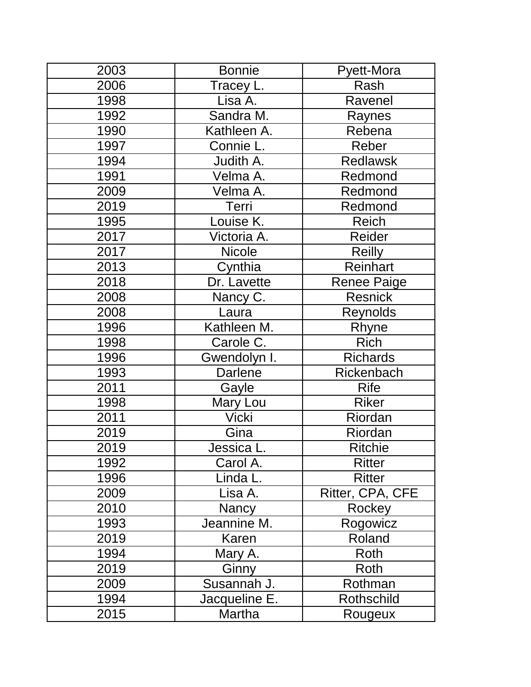| 2003 | <b>Bonnie</b>  | Pyett-Mora         |
|------|----------------|--------------------|
| 2006 | Tracey L.      | Rash               |
| 1998 | Lisa A.        | Ravenel            |
| 1992 | Sandra M.      | Raynes             |
| 1990 | Kathleen A.    | Rebena             |
| 1997 | Connie L.      | Reber              |
| 1994 | Judith A.      | <b>Redlawsk</b>    |
| 1991 | Velma A.       | Redmond            |
| 2009 | Velma A.       | Redmond            |
| 2019 | Terri          | Redmond            |
| 1995 | Louise K.      | Reich              |
| 2017 | Victoria A.    | Reider             |
| 2017 | <b>Nicole</b>  | <b>Reilly</b>      |
| 2013 | Cynthia        | Reinhart           |
| 2018 | Dr. Lavette    | <b>Renee Paige</b> |
| 2008 | Nancy C.       | <b>Resnick</b>     |
| 2008 | Laura          | Reynolds           |
| 1996 | Kathleen M.    | Rhyne              |
| 1998 | Carole C.      | <b>Rich</b>        |
| 1996 | Gwendolyn I.   | <b>Richards</b>    |
| 1993 | <b>Darlene</b> | Rickenbach         |
| 2011 | Gayle          | <b>Rife</b>        |
| 1998 | Mary Lou       | <b>Riker</b>       |
| 2011 | <b>Vicki</b>   | Riordan            |
| 2019 | Gina           | Riordan            |
| 2019 | Jessica l      | <b>Ritchie</b>     |
| 1992 | Carol A.       | <b>Ritter</b>      |
| 1996 | Linda L.       | <b>Ritter</b>      |
| 2009 | Lisa A.        | Ritter, CPA, CFE   |
| 2010 | <b>Nancy</b>   | Rockey             |
| 1993 | Jeannine M.    | Rogowicz           |
| 2019 | Karen          | Roland             |
| 1994 | Mary A.        | Roth               |
| 2019 | Ginny          | Roth               |
| 2009 | Susannah J.    | Rothman            |
| 1994 | Jacqueline E.  | <b>Rothschild</b>  |
| 2015 | Martha         | Rougeux            |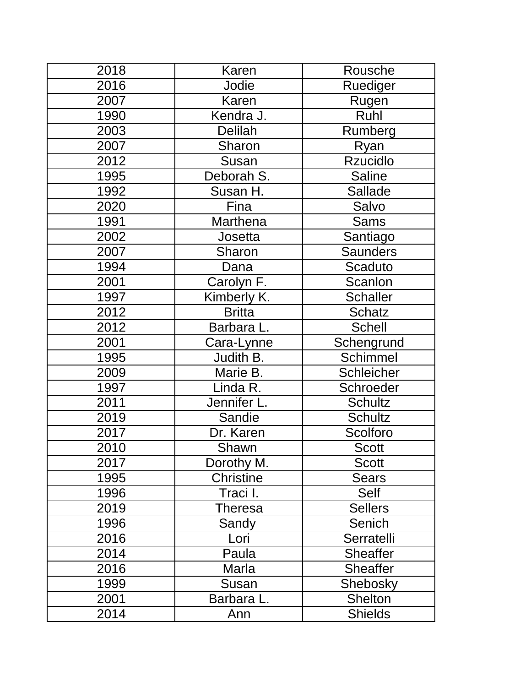| 2018 | <b>Karen</b>     | Rousche         |
|------|------------------|-----------------|
| 2016 | Jodie            | Ruediger        |
| 2007 | Karen            | Rugen           |
| 1990 | Kendra J.        | Ruhl            |
| 2003 | Delilah          | Rumberg         |
| 2007 | Sharon           | Ryan            |
| 2012 | Susan            | <b>Rzucidlo</b> |
| 1995 | Deborah S.       | <b>Saline</b>   |
| 1992 | Susan H.         | <b>Sallade</b>  |
| 2020 | Fina             | Salvo           |
| 1991 | Marthena         | Sams            |
| 2002 | Josetta          | Santiago        |
| 2007 | Sharon           | <b>Saunders</b> |
| 1994 | Dana             | Scaduto         |
| 2001 | Carolyn F.       | Scanlon         |
| 1997 | Kimberly K.      | <b>Schaller</b> |
| 2012 | <b>Britta</b>    | <b>Schatz</b>   |
| 2012 | Barbara L.       | <b>Schell</b>   |
| 2001 | Cara-Lynne       | Schengrund      |
| 1995 | Judith B.        | <b>Schimmel</b> |
| 2009 | Marie B.         | Schleicher      |
| 1997 | Linda R.         | Schroeder       |
| 2011 | Jennifer L.      | <b>Schultz</b>  |
| 2019 | Sandie           | <b>Schultz</b>  |
| 2017 | Dr. Karen        | Scolforo        |
| 2010 | Shawn            | <b>Scott</b>    |
| 2017 | Dorothy M.       | <b>Scott</b>    |
| 1995 | <b>Christine</b> | <b>Sears</b>    |
| 1996 | Traci I.         | Self            |
| 2019 | Theresa          | <b>Sellers</b>  |
| 1996 | Sandy            | Senich          |
| 2016 | Lori             | Serratelli      |
| 2014 | Paula            | <b>Sheaffer</b> |
| 2016 | Marla            | <b>Sheaffer</b> |
| 1999 | Susan            | Shebosky        |
| 2001 | Barbara L.       | <b>Shelton</b>  |
| 2014 | Ann              | <b>Shields</b>  |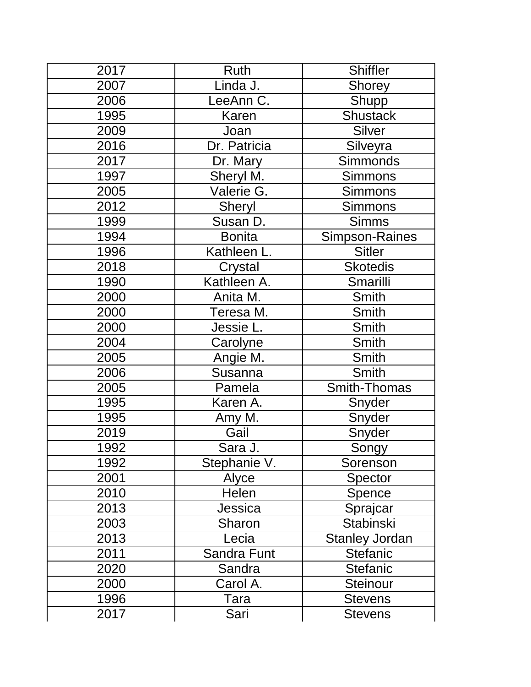| 2017 | <b>Ruth</b>   | Shiffler              |
|------|---------------|-----------------------|
| 2007 | Linda J.      | <b>Shorey</b>         |
| 2006 | LeeAnn C.     | <b>Shupp</b>          |
| 1995 | Karen         | <b>Shustack</b>       |
| 2009 | Joan          | Silver                |
| 2016 | Dr. Patricia  | Silveyra              |
| 2017 | Dr. Mary      | Simmonds              |
| 1997 | Sheryl M.     | <b>Simmons</b>        |
| 2005 | Valerie G.    | <b>Simmons</b>        |
| 2012 | <b>Sheryl</b> | <b>Simmons</b>        |
| 1999 | Susan D.      | <b>Simms</b>          |
| 1994 | <b>Bonita</b> | <b>Simpson-Raines</b> |
| 1996 | Kathleen L.   | <b>Sitler</b>         |
| 2018 | Crystal       | <b>Skotedis</b>       |
| 1990 | Kathleen A.   | Smarilli              |
| 2000 | Anita M.      | Smith                 |
| 2000 | Teresa M.     | Smith                 |
| 2000 | Jessie L.     | Smith                 |
| 2004 | Carolyne      | Smith                 |
| 2005 | Angie M.      | Smith                 |
| 2006 | Susanna       | Smith                 |
| 2005 | Pamela        | Smith-Thomas          |
| 1995 | Karen A.      | Snyder                |
| 1995 | Amy M.        | Snyder                |
| 2019 | Gail          | Snyder                |
| 1992 | Sara J.       | Songy                 |
| 1992 | Stephanie V.  | Sorenson              |
| 2001 | Alyce         | Spector               |
| 2010 | Helen         | Spence                |
| 2013 | Jessica       | Sprajcar              |
| 2003 | Sharon        | Stabinski             |
| 2013 | Lecia         | Stanley Jordan        |
| 2011 | Sandra Funt   | <b>Stefanic</b>       |
| 2020 | Sandra        | <b>Stefanic</b>       |
| 2000 | Carol A.      | Steinour              |
| 1996 | Tara          | <b>Stevens</b>        |
| 2017 | Sari          | <b>Stevens</b>        |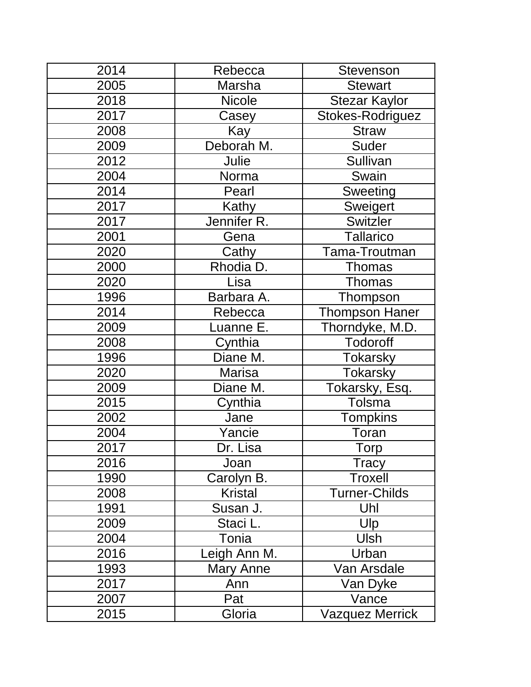| 2014 | Rebecca        | <b>Stevenson</b>       |
|------|----------------|------------------------|
| 2005 | Marsha         | <b>Stewart</b>         |
| 2018 | <b>Nicole</b>  | <b>Stezar Kaylor</b>   |
| 2017 | Casey          | Stokes-Rodriguez       |
| 2008 | Kay            | <b>Straw</b>           |
| 2009 | Deborah M.     | Suder                  |
| 2012 | Julie          | Sullivan               |
| 2004 | Norma          | Swain                  |
| 2014 | Pearl          | Sweeting               |
| 2017 | Kathy          | Sweigert               |
| 2017 | Jennifer R.    | <b>Switzler</b>        |
| 2001 | Gena           | <b>Tallarico</b>       |
| 2020 | Cathy          | Tama-Troutman          |
| 2000 | Rhodia D.      | <b>Thomas</b>          |
| 2020 | Lisa           | Thomas                 |
| 1996 | Barbara A.     | Thompson               |
| 2014 | Rebecca        | <b>Thompson Haner</b>  |
| 2009 | Luanne E.      | Thorndyke, M.D.        |
| 2008 | Cynthia        | Todoroff               |
| 1996 | Diane M.       | Tokarsky               |
| 2020 | <b>Marisa</b>  | <b>Tokarsky</b>        |
| 2009 | Diane M.       | Tokarsky, Esq.         |
| 2015 | Cynthia        | Tolsma                 |
| 2002 | Jane           | <b>Tompkins</b>        |
| 2004 | Yancie         | Toran                  |
| 2017 | Dr. Lisa       | Torp                   |
| 2016 | Joan           | <b>Tracy</b>           |
| 1990 | Carolyn B.     | Troxell                |
| 2008 | <b>Kristal</b> | <b>Turner-Childs</b>   |
| 1991 | Susan J.       | Uhl                    |
| 2009 | Staci L.       | Ulp                    |
| 2004 | Tonia          | <b>Ulsh</b>            |
| 2016 | Leigh Ann M.   | Urban                  |
| 1993 | Mary Anne      | Van Arsdale            |
| 2017 | Ann            | Van Dyke               |
| 2007 | Pat            | Vance                  |
| 2015 | Gloria         | <b>Vazquez Merrick</b> |